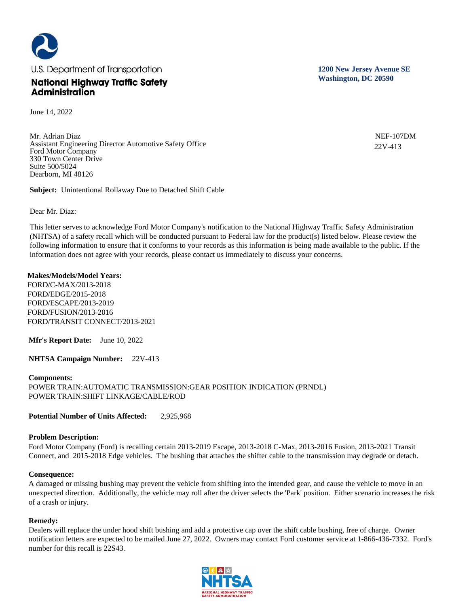

June 14, 2022

Mr. Adrian Diaz Assistant Engineering Director Automotive Safety Office Ford Motor Company 330 Town Center Drive Suite 500/5024 Dearborn, MI 48126

**Subject:** Unintentional Rollaway Due to Detached Shift Cable

Dear Mr. Diaz:

This letter serves to acknowledge Ford Motor Company's notification to the National Highway Traffic Safety Administration (NHTSA) of a safety recall which will be conducted pursuant to Federal law for the product(s) listed below. Please review the following information to ensure that it conforms to your records as this information is being made available to the public. If the information does not agree with your records, please contact us immediately to discuss your concerns.

# **Makes/Models/Model Years:**

FORD/C-MAX/2013-2018 FORD/EDGE/2015-2018 FORD/ESCAPE/2013-2019 FORD/FUSION/2013-2016 FORD/TRANSIT CONNECT/2013-2021

**Mfr's Report Date:** June 10, 2022

**NHTSA Campaign Number:** 22V-413

## **Components:**

POWER TRAIN:AUTOMATIC TRANSMISSION:GEAR POSITION INDICATION (PRNDL) POWER TRAIN:SHIFT LINKAGE/CABLE/ROD

**Potential Number of Units Affected:** 2,925,968

# **Problem Description:**

Ford Motor Company (Ford) is recalling certain 2013-2019 Escape, 2013-2018 C-Max, 2013-2016 Fusion, 2013-2021 Transit Connect, and 2015-2018 Edge vehicles. The bushing that attaches the shifter cable to the transmission may degrade or detach.

### **Consequence:**

A damaged or missing bushing may prevent the vehicle from shifting into the intended gear, and cause the vehicle to move in an unexpected direction. Additionally, the vehicle may roll after the driver selects the 'Park' position. Either scenario increases the risk of a crash or injury.

# **Remedy:**

Dealers will replace the under hood shift bushing and add a protective cap over the shift cable bushing, free of charge. Owner notification letters are expected to be mailed June 27, 2022. Owners may contact Ford customer service at 1-866-436-7332. Ford's number for this recall is 22S43.



**1200 New Jersey Avenue SE Washington, DC 20590**

> NEF-107DM 22V-413